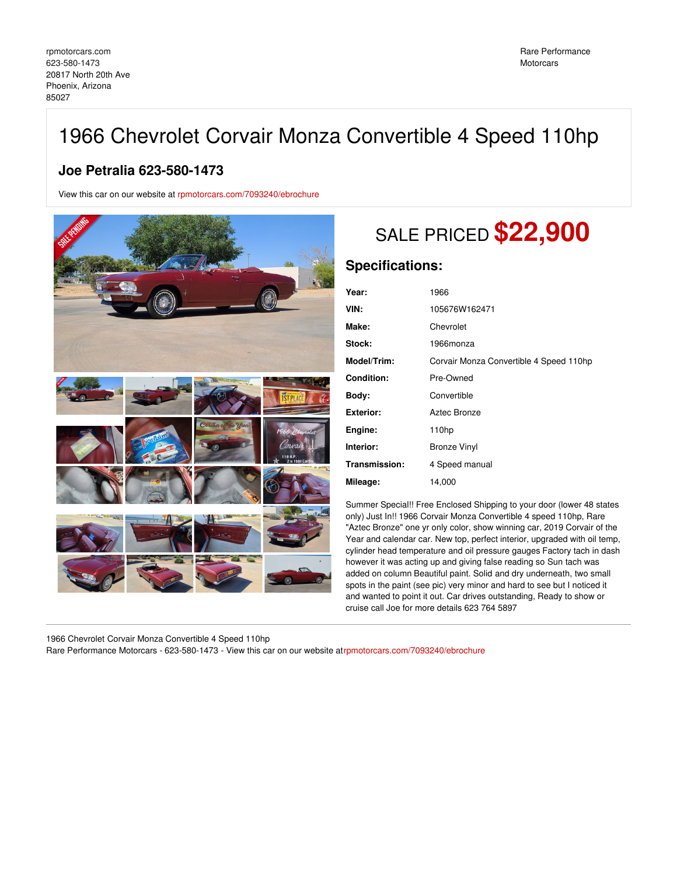## 1966 Chevrolet Corvair Monza Convertible 4 Speed 110hp

## **Joe Petralia 623-580-1473**

View this car on our website at [rpmotorcars.com/7093240/ebrochure](https://rpmotorcars.com/vehicle/7093240/1966-chevrolet-corvair-monza-convertible-4-speed-110hp-phoenix-arizona-85027/7093240/ebrochure)



## SALE PRICED **\$22,900**

## **Specifications:**

| Year:            | 1966                                    |
|------------------|-----------------------------------------|
| VIN:             | 105676W162471                           |
| Make:            | Chevrolet                               |
| Stock:           | 1966monza                               |
| Model/Trim:      | Corvair Monza Convertible 4 Speed 110hp |
| Condition:       | Pre-Owned                               |
| Body:            | Convertible                             |
| <b>Exterior:</b> | Aztec Bronze                            |
| Engine:          | 110hp                                   |
| Interior:        | <b>Bronze Vinyl</b>                     |
| Transmission:    | 4 Speed manual                          |
| Mileage:         | 14,000                                  |

Summer Special!! Free Enclosed Shipping to your door (lower 48 states only) Just In!! 1966 Corvair Monza Convertible 4 speed 110hp, Rare "Aztec Bronze" one yr only color, show winning car, 2019 Corvair of the Year and calendar car. New top, perfect interior, upgraded with oil temp, cylinder head temperature and oil pressure gauges Factory tach in dash however it was acting up and giving false reading so Sun tach was added on column Beautiful paint. Solid and dry underneath, two small spots in the paint (see pic) very minor and hard to see but I noticed it and wanted to point it out. Car drives outstanding, Ready to show or cruise call Joe for more details 623 764 5897

1966 Chevrolet Corvair Monza Convertible 4 Speed 110hp

Rare Performance Motorcars - 623-580-1473 - View this car on our website a[trpmotorcars.com/7093240/ebrochure](https://rpmotorcars.com/vehicle/7093240/1966-chevrolet-corvair-monza-convertible-4-speed-110hp-phoenix-arizona-85027/7093240/ebrochure)